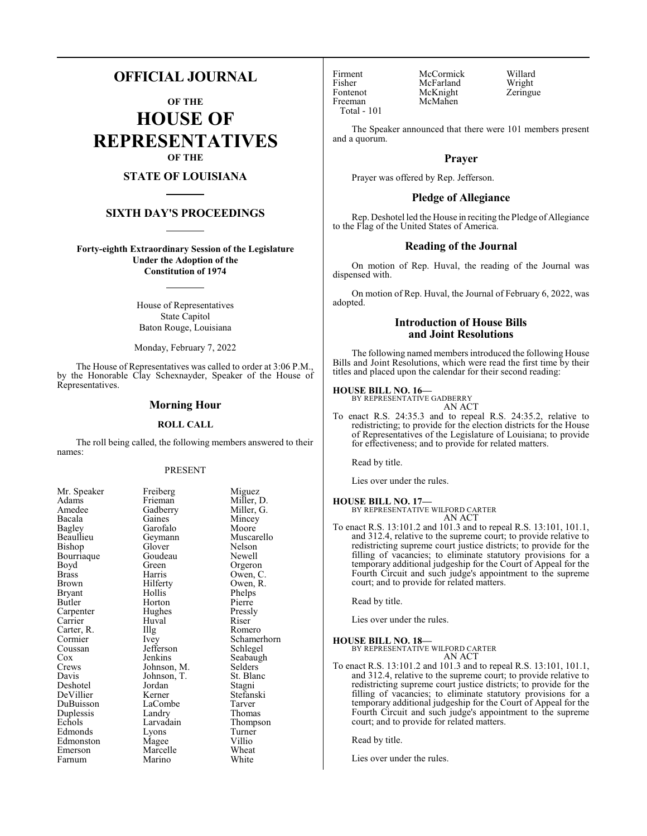# **OFFICIAL JOURNAL**

**OF THE HOUSE OF REPRESENTATIVES OF THE**

# **STATE OF LOUISIANA**

### **SIXTH DAY'S PROCEEDINGS**

**Forty-eighth Extraordinary Session of the Legislature Under the Adoption of the Constitution of 1974**

> House of Representatives State Capitol Baton Rouge, Louisiana

Monday, February 7, 2022

The House of Representatives was called to order at 3:06 P.M., by the Honorable Clay Schexnayder, Speaker of the House of Representatives.

#### **Morning Hour**

#### **ROLL CALL**

The roll being called, the following members answered to their names:

#### PRESENT

Mincey<br>Moore

Phelps<br>Pierre

Pressly<br>Riser

Schamerhorn<br>Schlegel

Seabaugh<br>Selders

Stefanski<br>Tarver

Thompson<br>Turner

Muscarello<br>Nelson

| ічі. әреакеі |
|--------------|
| Adams        |
| Amedee       |
| Bacala       |
| Bagley       |
| Beaullieu    |
| Bishop       |
| Bourriaque   |
| Boyd         |
| <b>Brass</b> |
| Brown        |
| Bryant       |
| Butler       |
| Carpenter    |
| Carrier      |
| Carter, R.   |
| Cormier      |
| Coussan      |
| Cox          |
| Crews        |
| Davis        |
| Deshotel     |
| DeVillier    |
| DuBuisson    |
| Duplessis    |
| Echols       |
| Edmonds      |
| Edmonston    |
| Emerson      |
| Farnum       |

Mr. Speaker Freiberg Miguez<br>Adams Frieman Miller, 1 Frieman Miller, D.<br>Gadberry Miller, G. Gadberry Miller, G.<br>Gaines Mincey Garofalo<br>Geymann Glover Nelson<br>Goudeau Newell Goudeau<br>Green Green Orgeron<br>Harris Owen, C Harris Owen, C.<br>Hilferty Owen, R. Hilferty Owen, R.<br>Hollis Phelps Horton<br>Hughes The Romero<br>
Ivev Schamer Jefferson<br>Jenkins Johnson, M. Selders<br>Johnson, T. St. Blanc Johnson, T.<br>Jordan Jordan Stagni<br>Kerner Stefans LaCombe<br>Landry Landry Thomas<br>Larvadain Thomas Lyons Turner<br>
Magee Villio Magee Villio<br>
Marcelle Wheat Marcelle Wheat<br>
Marino White Marino

Huval

Fontenot McKnight<br>Freeman McMahen Total - 101

Firment McCormick Willard<br>Fisher McFarland Wright Fisher McFarland Wright<br>Fontenot McKnight Zeringue McMahen

The Speaker announced that there were 101 members present and a quorum.

#### **Prayer**

Prayer was offered by Rep. Jefferson.

#### **Pledge of Allegiance**

Rep. Deshotel led the House in reciting the Pledge of Allegiance to the Flag of the United States of America.

#### **Reading of the Journal**

On motion of Rep. Huval, the reading of the Journal was dispensed with.

On motion of Rep. Huval, the Journal of February 6, 2022, was adopted.

#### **Introduction of House Bills and Joint Resolutions**

The following named members introduced the following House Bills and Joint Resolutions, which were read the first time by their titles and placed upon the calendar for their second reading:

#### **HOUSE BILL NO. 16—**

BY REPRESENTATIVE GADBERRY AN ACT

To enact R.S. 24:35.3 and to repeal R.S. 24:35.2, relative to redistricting; to provide for the election districts for the House of Representatives of the Legislature of Louisiana; to provide for effectiveness; and to provide for related matters.

Read by title.

Lies over under the rules.

#### **HOUSE BILL NO. 17—** BY REPRESENTATIVE WILFORD CARTER AN ACT

To enact R.S. 13:101.2 and 101.3 and to repeal R.S. 13:101, 101.1, and 312.4, relative to the supreme court; to provide relative to redistricting supreme court justice districts; to provide for the filling of vacancies; to eliminate statutory provisions for a temporary additional judgeship for the Court of Appeal for the Fourth Circuit and such judge's appointment to the supreme court; and to provide for related matters.

Read by title.

Lies over under the rules.

#### **HOUSE BILL NO. 18—** BY REPRESENTATIVE WILFORD CARTER

AN ACT

To enact R.S. 13:101.2 and 101.3 and to repeal R.S. 13:101, 101.1, and 312.4, relative to the supreme court; to provide relative to redistricting supreme court justice districts; to provide for the filling of vacancies; to eliminate statutory provisions for a temporary additional judgeship for the Court of Appeal for the Fourth Circuit and such judge's appointment to the supreme court; and to provide for related matters.

Read by title.

Lies over under the rules.